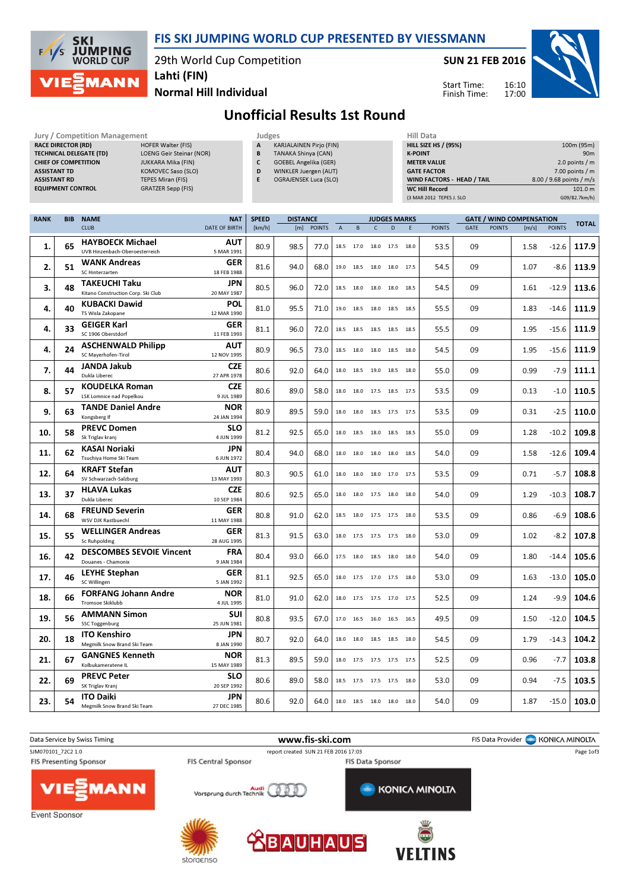

## FIS SKI JUMPING WORLD CUP PRESENTED BY VIESSMANN

29th World Cup Competition

SUN 21 FEB 2016

Start Time: Finish Time:



Normal Hill Individual

Unofficial Results 1st Round

| <b>ASSISTANT TD</b><br><b>ASSISTANT RD</b> | <b>RACE DIRECTOR (RD)</b><br><b>EQUIPMENT CONTROL</b> | <b>Jury / Competition Management</b><br>HOFER Walter (FIS)<br><b>TECHNICAL DELEGATE (TD)</b><br>LOENG Geir Steinar (NOR)<br><b>CHIEF OF COMPETITION</b><br>JUKKARA Mika (FIN)<br>KOMOVEC Saso (SLO)<br><b>TEPES Miran (FIS)</b><br>GRATZER Sepp (FIS) |                                    | Judges<br>A<br>B<br>C<br>D<br>E | KARJALAINEN Pirjo (FIN)<br>TANAKA Shinya (CAN)<br><b>GOEBEL Angelika (GER)</b><br>WINKLER Juergen (AUT)<br><b>OGRAJENSEK Luca (SLO)</b> |        |             |           |                          |                          | <b>K-POINT</b> | <b>Hill Data</b><br><b>HILL SIZE HS / (95%)</b><br><b>METER VALUE</b><br><b>GATE FACTOR</b><br>WIND FACTORS - HEAD / TAIL<br><b>WC Hill Record</b><br>(3 MAR 2012 TEPES J. SLO |      |               |                                          | 8.00 / 9.68 points / m/s | 100m (95m)<br>90 <sub>m</sub><br>2.0 points / $m$<br>$7.00$ points / m<br>101.0 m<br>G09/82.7km/h) |
|--------------------------------------------|-------------------------------------------------------|-------------------------------------------------------------------------------------------------------------------------------------------------------------------------------------------------------------------------------------------------------|------------------------------------|---------------------------------|-----------------------------------------------------------------------------------------------------------------------------------------|--------|-------------|-----------|--------------------------|--------------------------|----------------|--------------------------------------------------------------------------------------------------------------------------------------------------------------------------------|------|---------------|------------------------------------------|--------------------------|----------------------------------------------------------------------------------------------------|
| <b>RANK</b>                                | <b>BIB</b>                                            | <b>NAME</b><br><b>CLUB</b>                                                                                                                                                                                                                            | <b>NAT</b><br><b>DATE OF BIRTH</b> | <b>SPEED</b><br>[km/h]          | <b>DISTANCE</b><br>[m]                                                                                                                  | POINTS | $\mathsf A$ | B         | $\mathsf{C}$             | <b>JUDGES MARKS</b><br>D | E.             | <b>POINTS</b>                                                                                                                                                                  | GATE | <b>POINTS</b> | <b>GATE / WIND COMPENSATION</b><br>[m/s] | <b>POINTS</b>            | <b>TOTAL</b>                                                                                       |
| 1.                                         | 65                                                    | <b>HAYBOECK Michael</b><br>UVB Hinzenbach-Oberoesterreich                                                                                                                                                                                             | AUT<br>5 MAR 1991                  | 80.9                            | 98.5                                                                                                                                    | 77.0   | 18.5        | 17.0      |                          | 18.0 17.5 18.0           |                | 53.5                                                                                                                                                                           | 09   |               | 1.58                                     | $-12.6$                  | 117.9                                                                                              |
| 2.                                         | 51                                                    | <b>WANK Andreas</b><br>SC Hinterzarten                                                                                                                                                                                                                | GER<br>18 FEB 1988                 | 81.6                            | 94.0                                                                                                                                    | 68.0   | 19.0        | 18.5      | 18.0                     | 18.0 17.5                |                | 54.5                                                                                                                                                                           | 09   |               | 1.07                                     | $-8.6$                   | 113.9                                                                                              |
| 3.                                         | 48                                                    | <b>TAKEUCHI Taku</b><br>Kitano Construction Corp. Ski Club                                                                                                                                                                                            | JPN<br>20 MAY 1987                 | 80.5                            | 96.0                                                                                                                                    | 72.0   |             | 18.5 18.0 | 18.0 18.0 18.5           |                          |                | 54.5                                                                                                                                                                           | 09   |               | 1.61                                     | $-12.9$                  | 113.6                                                                                              |
| 4.                                         | 40                                                    | <b>KUBACKI Dawid</b><br>TS Wisla Zakopane                                                                                                                                                                                                             | POL<br>12 MAR 1990                 | 81.0                            | 95.5                                                                                                                                    | 71.0   |             | 19.0 18.5 | 18.0 18.5 18.5           |                          |                | 55.5                                                                                                                                                                           | 09   |               | 1.83                                     | $-14.6$                  | 111.9                                                                                              |
| 4.                                         | 33                                                    | <b>GEIGER Karl</b><br>SC 1906 Oberstdorf                                                                                                                                                                                                              | GER<br>11 FEB 1993                 | 81.1                            | 96.0                                                                                                                                    | 72.0   |             | 18.5 18.5 | 18.5 18.5 18.5           |                          |                | 55.5                                                                                                                                                                           | 09   |               | 1.95                                     | $-15.6$                  | 111.9                                                                                              |
| 4.                                         | 24                                                    | <b>ASCHENWALD Philipp</b><br>SC Mayerhofen-Tirol                                                                                                                                                                                                      | AUT<br>12 NOV 1995                 | 80.9                            | 96.5                                                                                                                                    | 73.0   |             | 18.5 18.0 |                          | 18.0 18.5 18.0           |                | 54.5                                                                                                                                                                           | 09   |               | 1.95                                     | $-15.6$                  | 111.9                                                                                              |
| 7.                                         | 44                                                    | JANDA Jakub<br>Dukla Liberec                                                                                                                                                                                                                          | <b>CZE</b><br>27 APR 1978          | 80.6                            | 92.0                                                                                                                                    | 64.0   | 18.0        | 18.5      |                          | 19.0 18.5 18.0           |                | 55.0                                                                                                                                                                           | 09   |               | 0.99                                     | $-7.9$                   | 111.1                                                                                              |
| 8.                                         | 57                                                    | <b>KOUDELKA Roman</b><br><b>LSK Lomnice nad Popelkou</b>                                                                                                                                                                                              | <b>CZE</b><br>9 JUL 1989           | 80.6                            | 89.0                                                                                                                                    | 58.0   |             | 18.0 18.0 | 17.5 18.5 17.5           |                          |                | 53.5                                                                                                                                                                           | 09   |               | 0.13                                     | $-1.0$                   | 110.5                                                                                              |
| 9.                                         | 63                                                    | <b>TANDE Daniel Andre</b><br>Kongsberg If                                                                                                                                                                                                             | <b>NOR</b><br>24 JAN 1994          | 80.9                            | 89.5                                                                                                                                    | 59.0   | 18.0        | 18.0      |                          | 18.5 17.5 17.5           |                | 53.5                                                                                                                                                                           | 09   |               | 0.31                                     | $-2.5$                   | 110.0                                                                                              |
| 10.                                        | 58                                                    | <b>PREVC Domen</b><br>Sk Triglav kranj                                                                                                                                                                                                                | SLO<br>4 JUN 1999                  | 81.2                            | 92.5                                                                                                                                    | 65.0   | 18.0        | 18.5      | 18.0 18.5                |                          | 18.5           | 55.0                                                                                                                                                                           | 09   |               | 1.28                                     | $-10.2$                  | 109.8                                                                                              |
| 11.                                        | 62                                                    | KASAI Noriaki<br>Tsuchiya Home Ski Team                                                                                                                                                                                                               | JPN<br>6 JUN 1972                  | 80.4                            | 94.0                                                                                                                                    | 68.0   | 18.0        | 18.0      | 18.0 18.0 18.5           |                          |                | 54.0                                                                                                                                                                           | 09   |               | 1.58                                     | $-12.6$                  | 109.4                                                                                              |
| 12.                                        | 64                                                    | <b>KRAFT Stefan</b><br>SV Schwarzach-Salzburg                                                                                                                                                                                                         | AUT<br>13 MAY 1993                 | 80.3                            | 90.5                                                                                                                                    | 61.0   |             | 18.0 18.0 | 18.0 17.0 17.5           |                          |                | 53.5                                                                                                                                                                           | 09   |               | 0.71                                     | $-5.7$                   | 108.8                                                                                              |
| 13.                                        | 37                                                    | <b>HLAVA Lukas</b><br>Dukla Liberec                                                                                                                                                                                                                   | <b>CZE</b><br>10 SEP 1984          | 80.6                            | 92.5                                                                                                                                    | 65.0   | 18.0        | 18.0      | 17.5 18.0                |                          | 18.0           | 54.0                                                                                                                                                                           | 09   |               | 1.29                                     | $-10.3$                  | 108.7                                                                                              |
| 14.                                        | 68                                                    | <b>FREUND Severin</b><br>WSV DJK Rastbuechl                                                                                                                                                                                                           | <b>GER</b><br>11 MAY 1988          | 80.8                            | 91.0                                                                                                                                    | 62.0   |             | 18.5 18.0 | 17.5 17.5 18.0           |                          |                | 53.5                                                                                                                                                                           | 09   |               | 0.86                                     | $-6.9$                   | 108.6                                                                                              |
| 15.                                        | 55                                                    | <b>WELLINGER Andreas</b><br><b>Sc Ruhpolding</b>                                                                                                                                                                                                      | <b>GER</b><br>28 AUG 1995          | 81.3                            | 91.5                                                                                                                                    | 63.0   |             |           | 18.0 17.5 17.5 17.5 18.0 |                          |                | 53.0                                                                                                                                                                           | 09   |               | 1.02                                     | $-8.2$                   | 107.8                                                                                              |
| 16.                                        | 42                                                    | <b>DESCOMBES SEVOIE Vincent</b><br>Douanes - Chamonix                                                                                                                                                                                                 | <b>FRA</b><br>9 JAN 1984           | 80.4                            | 93.0                                                                                                                                    | 66.0   |             | 17.5 18.0 | 18.5 18.0 18.0           |                          |                | 54.0                                                                                                                                                                           | 09   |               | 1.80                                     | $-14.4$                  | 105.6                                                                                              |
| 17.                                        | 46                                                    | <b>LEYHE Stephan</b><br>SC Willingen                                                                                                                                                                                                                  | GER<br>5 JAN 1992                  | 81.1                            | 92.5                                                                                                                                    | 65.0   |             | 18.0 17.5 | 17.0 17.5 18.0           |                          |                | 53.0                                                                                                                                                                           | 09   |               | 1.63                                     | $-13.0$                  | 105.0                                                                                              |
| 18.                                        | 66                                                    | <b>FORFANG Johann Andre</b><br>Tromsoe Skiklubb                                                                                                                                                                                                       | <b>NOR</b><br>4 JUL 1995           | 81.0                            | 91.0                                                                                                                                    | 62.0   |             |           | 18.0 17.5 17.5 17.0 17.5 |                          |                | 52.5                                                                                                                                                                           | 09   |               | 1.24                                     | -9.9                     | 104.6                                                                                              |
| 19.                                        | 56                                                    | <b>AMMANN Simon</b><br><b>SSC Toggenburg</b>                                                                                                                                                                                                          | <b>SUI</b><br>25 JUN 1981          | 80.8                            | 93.5                                                                                                                                    | 67.0   |             |           | 17.0 16.5 16.0 16.5 16.5 |                          |                | 49.5                                                                                                                                                                           | 09   |               | 1.50                                     | $-12.0$                  | 104.5                                                                                              |
| 20.                                        | 18                                                    | <b>ITO Kenshiro</b><br>Megmilk Snow Brand Ski Team                                                                                                                                                                                                    | JPN<br>8 JAN 1990                  | 80.7                            | 92.0                                                                                                                                    | 64.0   |             |           | 18.0 18.0 18.5 18.5 18.0 |                          |                | 54.5                                                                                                                                                                           | 09   |               | 1.79                                     | $-14.3$                  | 104.2                                                                                              |
| 21.                                        | 67                                                    | <b>GANGNES Kenneth</b><br>Kolbukameratene IL                                                                                                                                                                                                          | <b>NOR</b><br>15 MAY 1989          | 81.3                            | 89.5                                                                                                                                    | 59.0   |             |           | 18.0 17.5 17.5 17.5 17.5 |                          |                | 52.5                                                                                                                                                                           | 09   |               | 0.96                                     | $-7.7$                   | 103.8                                                                                              |
| 22.                                        | 69                                                    | <b>PREVC Peter</b><br>SK Triglav Kranj                                                                                                                                                                                                                | <b>SLO</b><br>20 SEP 1992          | 80.6                            | 89.0                                                                                                                                    | 58.0   |             |           | 18.5 17.5 17.5 17.5 18.0 |                          |                | 53.0                                                                                                                                                                           | 09   |               | 0.94                                     | $-7.5$                   | 103.5                                                                                              |
| 23.                                        | 54                                                    | <b>ITO Daiki</b><br>Megmilk Snow Brand Ski Team                                                                                                                                                                                                       | JPN<br>27 DEC 1985                 | 80.6                            | 92.0                                                                                                                                    | 64.0   |             |           | 18.0 18.5 18.0 18.0 18.0 |                          |                | 54.0                                                                                                                                                                           | 09   |               | 1.87                                     | $-15.0$                  | 103.0                                                                                              |

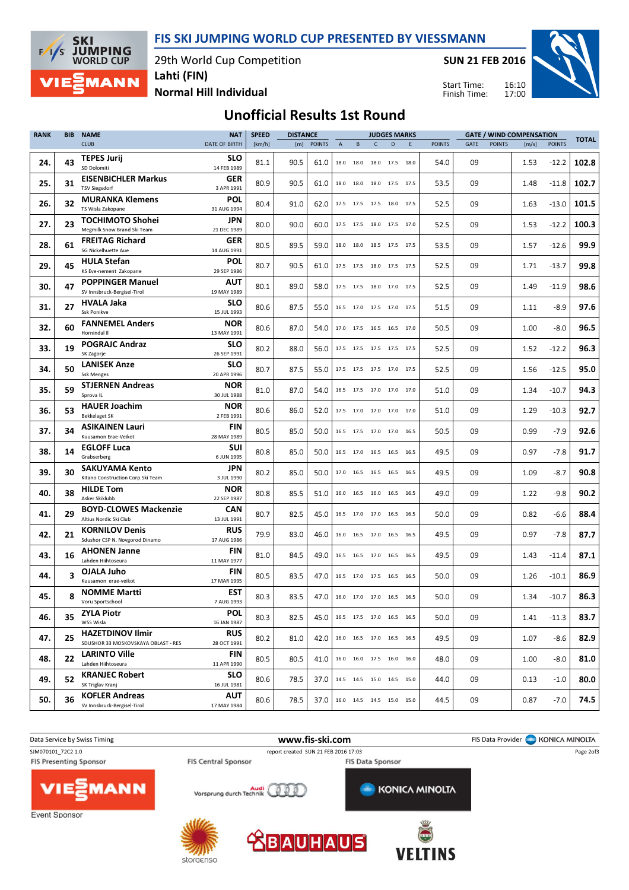FIS SKI JUMPING WORLD CUP PRESENTED BY VIESSMANN

29th World Cup Competition



Lahti (FIN)

SUN 21 FEB 2016



Normal Hill Individual

16:10 17:00 Start Time: Finish Time:

## Unofficial Results 1st Round

| <b>RANK</b> | <b>BIB</b> | <b>NAME</b>                                                    | <b>NAT</b>                | <b>SPEED</b> | <b>DISTANCE</b> |               |                |           | <b>JUDGES MARKS</b>          |   |      |               | <b>GATE / WIND COMPENSATION</b> |               |       |               | <b>TOTAL</b> |
|-------------|------------|----------------------------------------------------------------|---------------------------|--------------|-----------------|---------------|----------------|-----------|------------------------------|---|------|---------------|---------------------------------|---------------|-------|---------------|--------------|
|             |            | <b>CLUB</b>                                                    | <b>DATE OF BIRTH</b>      | [km/h]       | [m]             | <b>POINTS</b> | $\overline{A}$ | B         | $\mathsf{C}$                 | D | F    | <b>POINTS</b> | GATE                            | <b>POINTS</b> | [m/s] | <b>POINTS</b> |              |
| 24.         | 43         | <b>TEPES Jurij</b><br>SD Dolomiti                              | <b>SLO</b><br>14 FEB 1989 | 81.1         | 90.5            | 61.0          |                | 18.0 18.0 | 18.0 17.5 18.0               |   |      | 54.0          | 09                              |               | 1.53  | $-12.2$       | 102.8        |
| 25.         | 31         | <b>EISENBICHLER Markus</b><br><b>TSV Siegsdorf</b>             | GER<br>3 APR 1991         | 80.9         | 90.5            | 61.0          |                |           | 18.0 18.0 18.0 17.5 17.5     |   |      | 53.5          | 09                              |               | 1.48  | $-11.8$       | 102.7        |
| 26.         | 32         | <b>MURANKA Klemens</b><br>TS Wisla Zakopane                    | POL<br>31 AUG 1994        | 80.4         | 91.0            | 62.0          |                |           | 17.5 17.5 17.5 18.0 17.5     |   |      | 52.5          | 09                              |               | 1.63  | $-13.0$       | 101.5        |
| 27.         | 23         | <b>TOCHIMOTO Shohei</b><br>Megmilk Snow Brand Ski Team         | jpn<br>21 DEC 1989        | 80.0         | 90.0            | 60.0          |                |           | 17.5 17.5 18.0 17.5 17.0     |   |      | 52.5          | 09                              |               | 1.53  | $-12.2$       | 100.3        |
| 28.         | 61         | <b>FREITAG Richard</b><br>SG Nickelhuette Aue                  | GER<br>14 AUG 1991        | 80.5         | 89.5            | 59.0          |                |           | 18.0 18.0 18.5 17.5 17.5     |   |      | 53.5          | 09                              |               | 1.57  | $-12.6$       | 99.9         |
| 29.         | 45         | <b>HULA Stefan</b><br>KS Eve-nement Zakopane                   | POL<br>29 SEP 1986        | 80.7         | 90.5            | 61.0          |                |           | 17.5 17.5 18.0 17.5 17.5     |   |      | 52.5          | 09                              |               | 1.71  | $-13.7$       | 99.8         |
| 30.         | 47         | <b>POPPINGER Manuel</b><br>SV Innsbruck-Bergisel-Tirol         | <b>AUT</b><br>19 MAY 1989 | 80.1         | 89.0            | 58.0          |                | 17.5 17.5 | 18.0 17.0 17.5               |   |      | 52.5          | 09                              |               | 1.49  | $-11.9$       | 98.6         |
| 31.         | 27         | HVALA Jaka<br>Ssk Ponikve                                      | <b>SLO</b><br>15 JUL 1993 | 80.6         | 87.5            | 55.0          |                |           | 16.5 17.0 17.5 17.0 17.5     |   |      | 51.5          | 09                              |               | 1.11  | $-8.9$        | 97.6         |
| 32.         | 60         | <b>FANNEMEL Anders</b><br>Hornindal II                         | <b>NOR</b><br>13 MAY 1991 | 80.6         | 87.0            | 54.0          |                |           | 17.0 17.5 16.5 16.5 17.0     |   |      | 50.5          | 09                              |               | 1.00  | $-8.0$        | 96.5         |
| 33.         | 19         | <b>POGRAJC Andraz</b><br>SK Zagorje                            | <b>SLO</b><br>26 SEP 1991 | 80.2         | 88.0            | 56.0          |                |           | 17.5 17.5 17.5 17.5 17.5     |   |      | 52.5          | 09                              |               | 1.52  | $-12.2$       | 96.3         |
| 34.         | 50         | <b>LANISEK Anze</b><br><b>Ssk Menges</b>                       | <b>SLO</b><br>20 APR 1996 | 80.7         | 87.5            | 55.0          |                |           | 17.5 17.5 17.5 17.0 17.5     |   |      | 52.5          | 09                              |               | 1.56  | $-12.5$       | 95.0         |
| 35.         | 59         | <b>STJERNEN Andreas</b><br>Sprova IL                           | <b>NOR</b><br>30 JUL 1988 | 81.0         | 87.0            | 54.0          |                |           | 16.5 17.5 17.0 17.0 17.0     |   |      | 51.0          | 09                              |               | 1.34  | $-10.7$       | 94.3         |
| 36.         | 53         | <b>HAUER Joachim</b><br><b>Bekkelaget SK</b>                   | <b>NOR</b><br>2 FEB 1991  | 80.6         | 86.0            | 52.0          |                |           | 17.5 17.0 17.0 17.0 17.0     |   |      | 51.0          | 09                              |               | 1.29  | $-10.3$       | 92.7         |
| 37.         | 34         | <b>ASIKAINEN Lauri</b><br>Kuusamon Erae-Veikot                 | <b>FIN</b><br>28 MAY 1989 | 80.5         | 85.0            | 50.0          |                |           | 16.5 17.5 17.0 17.0 16.5     |   |      | 50.5          | 09                              |               | 0.99  | $-7.9$        | 92.6         |
| 38.         | 14         | <b>EGLOFF Luca</b><br>Grabserberg                              | <b>SUI</b><br>6 JUN 1995  | 80.8         | 85.0            | 50.0          |                |           | 16.5 17.0 16.5 16.5 16.5     |   |      | 49.5          | 09                              |               | 0.97  | $-7.8$        | 91.7         |
| 39.         | 30         | <b>SAKUYAMA Kento</b><br>Kitano Construction Corp.Ski Team     | JPN<br>3 JUL 1990         | 80.2         | 85.0            | 50.0          |                |           | 17.0 16.5 16.5 16.5          |   | 16.5 | 49.5          | 09                              |               | 1.09  | $-8.7$        | 90.8         |
| 40.         | 38         | <b>HILDE Tom</b><br>Asker Skiklubb                             | <b>NOR</b><br>22 SEP 1987 | 80.8         | 85.5            | 51.0          |                |           | 16.0 16.5 16.0 16.5 16.5     |   |      | 49.0          | 09                              |               | 1.22  | $-9.8$        | 90.2         |
| 41.         | 29         | <b>BOYD-CLOWES Mackenzie</b><br>Altius Nordic Ski Club         | <b>CAN</b><br>13 JUL 1991 | 80.7         | 82.5            | 45.0          |                |           | 16.5 17.0 17.0 16.5 16.5     |   |      | 50.0          | 09                              |               | 0.82  | $-6.6$        | 88.4         |
| 42.         | 21         | <b>KORNILOV Denis</b><br>Sdushor CSP N. Novgorod Dinamo        | <b>RUS</b><br>17 AUG 1986 | 79.9         | 83.0            | 46.0          |                |           | 16.0 16.5 17.0 16.5          |   | 16.5 | 49.5          | 09                              |               | 0.97  | $-7.8$        | 87.7         |
| 43.         | 16         | <b>AHONEN Janne</b><br>Lahden Hiihtoseura                      | <b>FIN</b><br>11 MAY 1977 | 81.0         | 84.5            | 49.0          |                |           | 16.5 16.5 17.0 16.5 16.5     |   |      | 49.5          | 09                              |               | 1.43  | $-11.4$       | 87.1         |
| 44.         | 3          | OJALA Juho<br>Kuusamon erae-veikot                             | <b>FIN</b><br>17 MAR 1995 | 80.5         | 83.5            | 47.0          |                |           | 16.5 17.0 17.5 16.5 16.5     |   |      | 50.0          | 09                              |               | 1.26  | $-10.1$       | 86.9         |
| 45.         | 8          | <b>NOMME Martti</b><br>Voru Sportschool                        | EST<br>7 AUG 1993         | 80.3         | 83.5            | 47.0          |                |           | 16.0 17.0 17.0 16.5 16.5     |   |      | 50.0          | 09                              |               | 1.34  | $-10.7$       | 86.3         |
| 46.         | 35         | <b>ZYLA Piotr</b><br>WSS Wisla                                 | <b>POL</b><br>16 JAN 1987 | 80.3         | 82.5            | 45.0          |                |           | 16.5 17.5 17.0 16.5 16.5     |   |      | 50.0          | 09                              |               | 1.41  | $-11.3$       | 83.7         |
| 47.         | 25         | <b>HAZETDINOV Ilmir</b><br>SDUSHOR 33 MOSKOVSKAYA OBLAST - RES | RUS<br>28 OCT 1991        | 80.2         | 81.0            | 42.0          |                |           | 16.0 16.5 17.0 16.5 16.5     |   |      | 49.5          | 09                              |               | 1.07  | -8.6          | 82.9         |
| 48.         | 22         | <b>LARINTO Ville</b><br>Lahden Hiihtoseura                     | <b>FIN</b><br>11 APR 1990 | 80.5         | 80.5            | 41.0          |                |           | 16.0 16.0 17.5 16.0 16.0     |   |      | 48.0          | 09                              |               | 1.00  | $-8.0$        | 81.0         |
| 49.         | 52         | <b>KRANJEC Robert</b><br>SK Triglav Kranj                      | <b>SLO</b><br>16 JUL 1981 | 80.6         | 78.5            | 37.0          |                |           | 14.5 14.5 15.0 14.5 15.0     |   |      | 44.0          | 09                              |               | 0.13  | $-1.0$        | 80.0         |
| 50.         | 36         | <b>KOFLER Andreas</b><br>SV Innsbruck-Bergisel-Tirol           | AUT<br>17 MAY 1984        | 80.6         | 78.5            | 37.0          |                |           | 16.0  14.5  14.5  15.0  15.0 |   |      | 44.5          | 09                              |               | 0.87  | $-7.0$        | 74.5         |